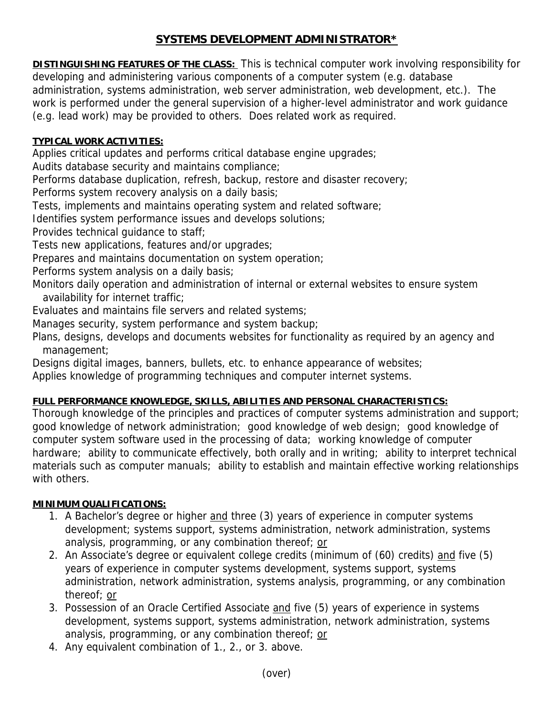# **SYSTEMS DEVELOPMENT ADMINISTRATOR\***

**DISTINGUISHING FEATURES OF THE CLASS:** This is technical computer work involving responsibility for developing and administering various components of a computer system (e.g. database administration, systems administration, web server administration, web development, etc.). The work is performed under the general supervision of a higher-level administrator and work guidance (e.g. lead work) may be provided to others. Does related work as required.

#### **TYPICAL WORK ACTIVITIES:**

Applies critical updates and performs critical database engine upgrades;

Audits database security and maintains compliance;

Performs database duplication, refresh, backup, restore and disaster recovery;

Performs system recovery analysis on a daily basis;

Tests, implements and maintains operating system and related software;

Identifies system performance issues and develops solutions;

Provides technical guidance to staff;

Tests new applications, features and/or upgrades;

Prepares and maintains documentation on system operation;

Performs system analysis on a daily basis;

Monitors daily operation and administration of internal or external websites to ensure system availability for internet traffic;

Evaluates and maintains file servers and related systems;

Manages security, system performance and system backup;

Plans, designs, develops and documents websites for functionality as required by an agency and management;

Designs digital images, banners, bullets, etc. to enhance appearance of websites;

Applies knowledge of programming techniques and computer internet systems.

## **FULL PERFORMANCE KNOWLEDGE, SKILLS, ABILITIES AND PERSONAL CHARACTERISTICS:**

Thorough knowledge of the principles and practices of computer systems administration and support; good knowledge of network administration; good knowledge of web design; good knowledge of computer system software used in the processing of data; working knowledge of computer hardware; ability to communicate effectively, both orally and in writing; ability to interpret technical materials such as computer manuals; ability to establish and maintain effective working relationships with others.

## **MINIMUM QUALIFICATIONS:**

- 1. A Bachelor's degree or higher and three (3) years of experience in computer systems development; systems support, systems administration, network administration, systems analysis, programming, or any combination thereof; or
- 2. An Associate's degree or equivalent college credits (minimum of (60) credits) and five (5) years of experience in computer systems development, systems support, systems administration, network administration, systems analysis, programming, or any combination thereof; or
- 3. Possession of an Oracle Certified Associate and five (5) years of experience in systems development, systems support, systems administration, network administration, systems analysis, programming, or any combination thereof; or
- 4. Any equivalent combination of 1., 2., or 3. above.